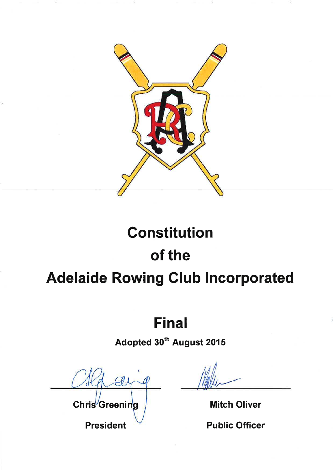

# **Final**

Adopted 30<sup>th</sup> August 2015

 $\negthinspace\negthinspace\vartheta$ 

Chris<sup>/</sup>Greening

**President** 

**Mitch Oliver** 

**Public Officer**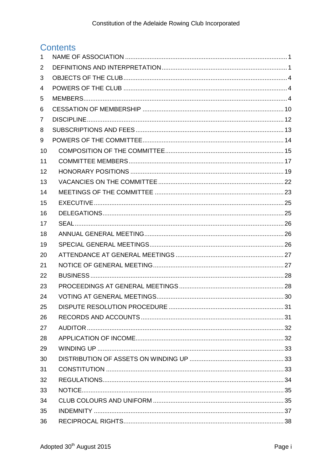# **Contents**

| 1  |  |
|----|--|
| 2  |  |
| 3  |  |
| 4  |  |
| 5  |  |
| 6  |  |
| 7  |  |
| 8  |  |
| 9  |  |
| 10 |  |
| 11 |  |
| 12 |  |
| 13 |  |
| 14 |  |
| 15 |  |
| 16 |  |
| 17 |  |
| 18 |  |
| 19 |  |
| 20 |  |
| 21 |  |
| 22 |  |
| 23 |  |
| 24 |  |
| 25 |  |
| 26 |  |
| 27 |  |
| 28 |  |
| 29 |  |
| 30 |  |
| 31 |  |
| 32 |  |
| 33 |  |
| 34 |  |
| 35 |  |
| 36 |  |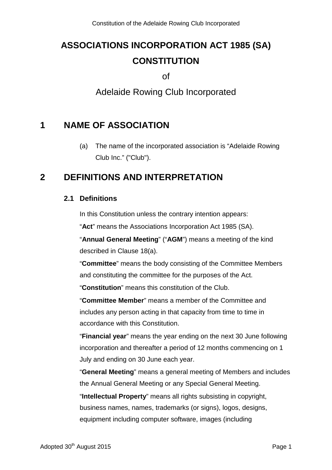# **ASSOCIATIONS INCORPORATION ACT 1985 (SA) CONSTITUTION**

of

Adelaide Rowing Club Incorporated

# <span id="page-3-0"></span>**1 NAME OF ASSOCIATION**

(a) The name of the incorporated association is "Adelaide Rowing Club Inc." ("Club").

# <span id="page-3-1"></span>**2 DEFINITIONS AND INTERPRETATION**

### **2.1 Definitions**

In this Constitution unless the contrary intention appears:

"**Act**" means the Associations Incorporation Act 1985 (SA).

"**Annual General Meeting**" ("**AGM**") means a meeting of the kind described in Clause 18(a).

"**Committee**" means the body consisting of the Committee Members and constituting the committee for the purposes of the Act.

"**Constitution**" means this constitution of the Club.

"**Committee Member**" means a member of the Committee and includes any person acting in that capacity from time to time in accordance with this Constitution.

"**Financial year**" means the year ending on the next 30 June following incorporation and thereafter a period of 12 months commencing on 1 July and ending on 30 June each year.

"**General Meeting**" means a general meeting of Members and includes the Annual General Meeting or any Special General Meeting.

"**Intellectual Property**" means all rights subsisting in copyright, business names, names, trademarks (or signs), logos, designs, equipment including computer software, images (including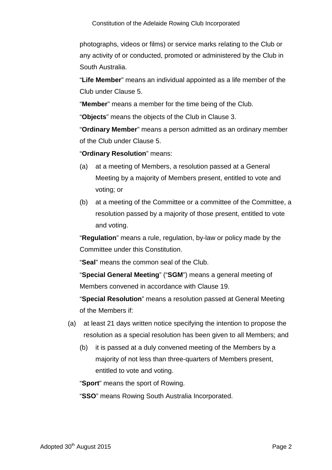photographs, videos or films) or service marks relating to the Club or any activity of or conducted, promoted or administered by the Club in South Australia.

"**Life Member**" means an individual appointed as a life member of the Club under Clause 5.

"**Member**" means a member for the time being of the Club.

"**Objects**" means the objects of the Club in Clause 3.

"**Ordinary Member**" means a person admitted as an ordinary member of the Club under Clause 5.

"**Ordinary Resolution**" means:

- (a) at a meeting of Members, a resolution passed at a General Meeting by a majority of Members present, entitled to vote and voting; or
- (b) at a meeting of the Committee or a committee of the Committee, a resolution passed by a majority of those present, entitled to vote and voting.

"**Regulation**" means a rule, regulation, by-law or policy made by the Committee under this Constitution.

"**Seal**" means the common seal of the Club.

"**Special General Meeting**" ("**SGM**") means a general meeting of Members convened in accordance with Clause 19.

"**Special Resolution**" means a resolution passed at General Meeting of the Members if:

- (a) at least 21 days written notice specifying the intention to propose the resolution as a special resolution has been given to all Members; and
	- (b) it is passed at a duly convened meeting of the Members by a majority of not less than three-quarters of Members present, entitled to vote and voting.

"**Sport**" means the sport of Rowing.

"**SSO**" means Rowing South Australia Incorporated.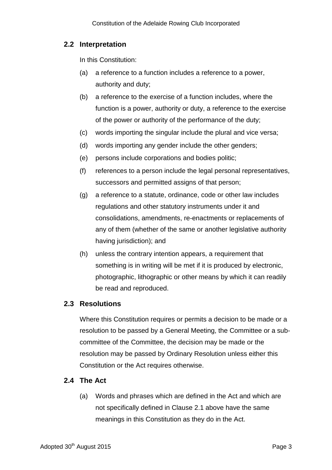## **2.2 Interpretation**

In this Constitution:

- (a) a reference to a function includes a reference to a power, authority and duty;
- (b) a reference to the exercise of a function includes, where the function is a power, authority or duty, a reference to the exercise of the power or authority of the performance of the duty;
- (c) words importing the singular include the plural and vice versa;
- (d) words importing any gender include the other genders;
- (e) persons include corporations and bodies politic;
- (f) references to a person include the legal personal representatives, successors and permitted assigns of that person;
- (g) a reference to a statute, ordinance, code or other law includes regulations and other statutory instruments under it and consolidations, amendments, re-enactments or replacements of any of them (whether of the same or another legislative authority having jurisdiction); and
- (h) unless the contrary intention appears, a requirement that something is in writing will be met if it is produced by electronic, photographic, lithographic or other means by which it can readily be read and reproduced.

### **2.3 Resolutions**

Where this Constitution requires or permits a decision to be made or a resolution to be passed by a General Meeting, the Committee or a subcommittee of the Committee, the decision may be made or the resolution may be passed by Ordinary Resolution unless either this Constitution or the Act requires otherwise.

### **2.4 The Act**

(a) Words and phrases which are defined in the Act and which are not specifically defined in Clause 2.1 above have the same meanings in this Constitution as they do in the Act.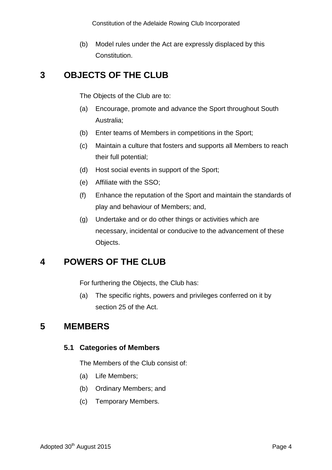(b) Model rules under the Act are expressly displaced by this Constitution.

# <span id="page-6-0"></span>**3 OBJECTS OF THE CLUB**

The Objects of the Club are to:

- (a) Encourage, promote and advance the Sport throughout South Australia;
- (b) Enter teams of Members in competitions in the Sport;
- (c) Maintain a culture that fosters and supports all Members to reach their full potential;
- (d) Host social events in support of the Sport;
- (e) Affiliate with the SSO;
- (f) Enhance the reputation of the Sport and maintain the standards of play and behaviour of Members; and,
- (g) Undertake and or do other things or activities which are necessary, incidental or conducive to the advancement of these Objects.

# <span id="page-6-1"></span>**4 POWERS OF THE CLUB**

For furthering the Objects, the Club has:

(a) The specific rights, powers and privileges conferred on it by section 25 of the Act.

# <span id="page-6-2"></span>**5 MEMBERS**

### **5.1 Categories of Members**

The Members of the Club consist of:

- (a) Life Members;
- (b) Ordinary Members; and
- (c) Temporary Members.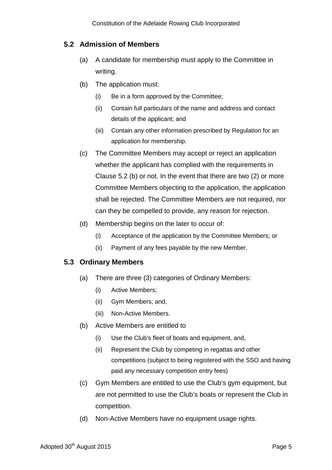### **5.2 Admission of Members**

- (a) A candidate for membership must apply to the Committee in writing.
- (b) The application must:
	- (i) Be in a form approved by the Committee;
	- (ii) Contain full particulars of the name and address and contact details of the applicant; and
	- (iii) Contain any other information prescribed by Regulation for an application for membership.
- (c) The Committee Members may accept or reject an application whether the applicant has complied with the requirements in Clause 5.2 (b) or not. In the event that there are two (2) or more Committee Members objecting to the application, the application shall be rejected. The Committee Members are not required, nor can they be compelled to provide, any reason for rejection.
- (d) Membership begins on the later to occur of:
	- (i) Acceptance of the application by the Committee Members; or
	- (ii) Payment of any fees payable by the new Member.

### **5.3 Ordinary Members**

- (a) There are three (3) categories of Ordinary Members:
	- (i) Active Members;
	- (ii) Gym Members; and,
	- (iii) Non-Active Members.
- (b) Active Members are entitled to
	- (i) Use the Club's fleet of boats and equipment, and,
	- (ii) Represent the Club by competing in regattas and other competitions (subject to being registered with the SSO and having paid any necessary competition entry fees)
- (c) Gym Members are entitled to use the Club's gym equipment, but are not permitted to use the Club's boats or represent the Club in competition.
- (d) Non-Active Members have no equipment usage rights.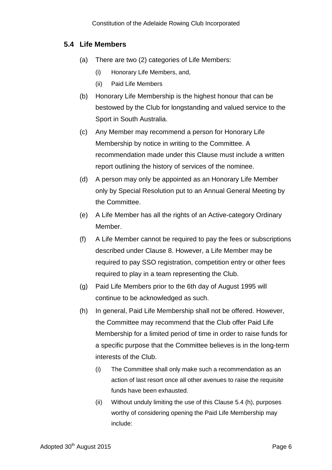### **5.4 Life Members**

- (a) There are two (2) categories of Life Members:
	- (i) Honorary Life Members, and,
	- (ii) Paid Life Members
- (b) Honorary Life Membership is the highest honour that can be bestowed by the Club for longstanding and valued service to the Sport in South Australia.
- (c) Any Member may recommend a person for Honorary Life Membership by notice in writing to the Committee. A recommendation made under this Clause must include a written report outlining the history of services of the nominee.
- (d) A person may only be appointed as an Honorary Life Member only by Special Resolution put to an Annual General Meeting by the Committee.
- (e) A Life Member has all the rights of an Active-category Ordinary Member.
- (f) A Life Member cannot be required to pay the fees or subscriptions described under Clause 8. However, a Life Member may be required to pay SSO registration, competition entry or other fees required to play in a team representing the Club.
- (g) Paid Life Members prior to the 6th day of August 1995 will continue to be acknowledged as such.
- (h) In general, Paid Life Membership shall not be offered. However, the Committee may recommend that the Club offer Paid Life Membership for a limited period of time in order to raise funds for a specific purpose that the Committee believes is in the long-term interests of the Club.
	- (i) The Committee shall only make such a recommendation as an action of last resort once all other avenues to raise the requisite funds have been exhausted.
	- (ii) Without unduly limiting the use of this Clause 5.4 (h), purposes worthy of considering opening the Paid Life Membership may include: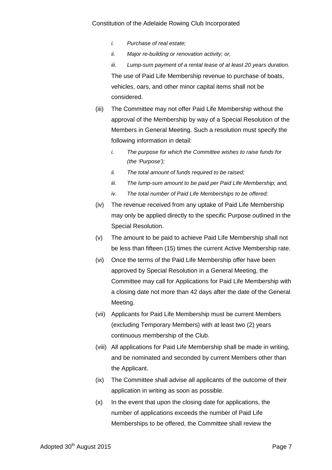- *i. Purchase of real estate;*
- *ii. Major re-building or renovation activity; or,*
- *iii. Lump-sum payment of a rental lease of at least 20 years duration.* The use of Paid Life Membership revenue to purchase of boats, vehicles, oars, and other minor capital items shall not be considered.
- (iii) The Committee may not offer Paid Life Membership without the approval of the Membership by way of a Special Resolution of the Members in General Meeting. Such a resolution must specify the following information in detail:
	- *i. The purpose for which the Committee wishes to raise funds for (the 'Purpose');*
	- *ii. The total amount of funds required to be raised;*
	- *iii. The lump-sum amount to be paid per Paid Life Membership; and,*
	- *iv. The total number of Paid Life Memberships to be offered;*
- (iv) The revenue received from any uptake of Paid Life Membership may only be applied directly to the specific Purpose outlined in the Special Resolution.
- (v) The amount to be paid to achieve Paid Life Membership shall not be less than fifteen (15) times the current Active Membership rate.
- (vi) Once the terms of the Paid Life Membership offer have been approved by Special Resolution in a General Meeting, the Committee may call for Applications for Paid Life Membership with a closing date not more than 42 days after the date of the General Meeting.
- (vii) Applicants for Paid Life Membership must be current Members (excluding Temporary Members) with at least two (2) years continuous membership of the Club.
- (viii) All applications for Paid Life Membership shall be made in writing, and be nominated and seconded by current Members other than the Applicant.
- (ix) The Committee shall advise all applicants of the outcome of their application in writing as soon as possible.
- (x) In the event that upon the closing date for applications, the number of applications exceeds the number of Paid Life Memberships to be offered, the Committee shall review the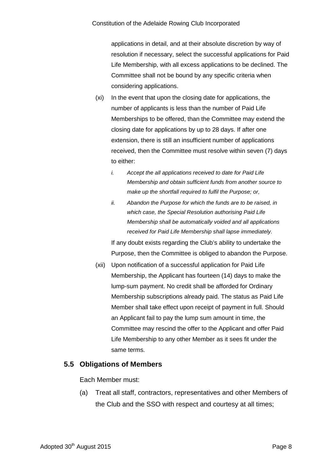applications in detail, and at their absolute discretion by way of resolution if necessary, select the successful applications for Paid Life Membership, with all excess applications to be declined. The Committee shall not be bound by any specific criteria when considering applications.

- (xi) In the event that upon the closing date for applications, the number of applicants is less than the number of Paid Life Memberships to be offered, than the Committee may extend the closing date for applications by up to 28 days. If after one extension, there is still an insufficient number of applications received, then the Committee must resolve within seven (7) days to either:
	- *i. Accept the all applications received to date for Paid Life Membership and obtain sufficient funds from another source to make up the shortfall required to fulfil the Purpose; or,*
	- *ii. Abandon the Purpose for which the funds are to be raised, in which case, the Special Resolution authorising Paid Life Membership shall be automatically voided and all applications received for Paid Life Membership shall lapse immediately.*

If any doubt exists regarding the Club's ability to undertake the Purpose, then the Committee is obliged to abandon the Purpose.

(xii) Upon notification of a successful application for Paid Life Membership, the Applicant has fourteen (14) days to make the lump-sum payment. No credit shall be afforded for Ordinary Membership subscriptions already paid. The status as Paid Life Member shall take effect upon receipt of payment in full. Should an Applicant fail to pay the lump sum amount in time, the Committee may rescind the offer to the Applicant and offer Paid Life Membership to any other Member as it sees fit under the same terms.

### **5.5 Obligations of Members**

Each Member must:

(a) Treat all staff, contractors, representatives and other Members of the Club and the SSO with respect and courtesy at all times;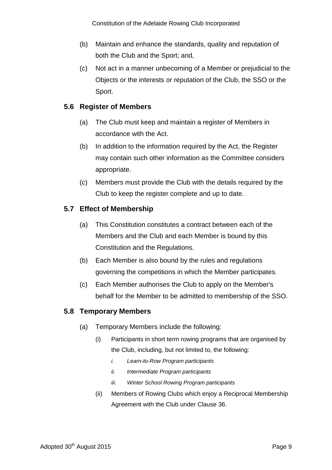- (b) Maintain and enhance the standards, quality and reputation of both the Club and the Sport; and,
- (c) Not act in a manner unbecoming of a Member or prejudicial to the Objects or the interests or reputation of the Club, the SSO or the Sport.

### **5.6 Register of Members**

- (a) The Club must keep and maintain a register of Members in accordance with the Act.
- (b) In addition to the information required by the Act, the Register may contain such other information as the Committee considers appropriate.
- (c) Members must provide the Club with the details required by the Club to keep the register complete and up to date.

### **5.7 Effect of Membership**

- (a) This Constitution constitutes a contract between each of the Members and the Club and each Member is bound by this Constitution and the Regulations.
- (b) Each Member is also bound by the rules and regulations governing the competitions in which the Member participates.
- (c) Each Member authorises the Club to apply on the Member's behalf for the Member to be admitted to membership of the SSO.

### **5.8 Temporary Members**

- (a) Temporary Members include the following:
	- (i) Participants in short term rowing programs that are organised by the Club, including, but not limited to, the following:
		- *i. Learn-to-Row Program participants*
		- *ii. Intermediate Program participants*
		- *iii. Winter School Rowing Program participants*
	- (ii) Members of Rowing Clubs which enjoy a Reciprocal Membership Agreement with the Club under Clause 36.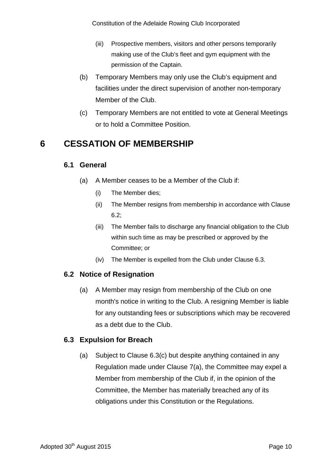- (iii) Prospective members, visitors and other persons temporarily making use of the Club's fleet and gym equipment with the permission of the Captain.
- (b) Temporary Members may only use the Club's equipment and facilities under the direct supervision of another non-temporary Member of the Club.
- (c) Temporary Members are not entitled to vote at General Meetings or to hold a Committee Position.

# <span id="page-12-0"></span>**6 CESSATION OF MEMBERSHIP**

### **6.1 General**

- (a) A Member ceases to be a Member of the Club if:
	- (i) The Member dies;
	- (ii) The Member resigns from membership in accordance with Clause 6.2;
	- (iii) The Member fails to discharge any financial obligation to the Club within such time as may be prescribed or approved by the Committee; or
	- (iv) The Member is expelled from the Club under Clause 6.3.

### **6.2 Notice of Resignation**

(a) A Member may resign from membership of the Club on one month's notice in writing to the Club. A resigning Member is liable for any outstanding fees or subscriptions which may be recovered as a debt due to the Club.

### **6.3 Expulsion for Breach**

(a) Subject to Clause 6.3(c) but despite anything contained in any Regulation made under Clause 7(a), the Committee may expel a Member from membership of the Club if, in the opinion of the Committee, the Member has materially breached any of its obligations under this Constitution or the Regulations.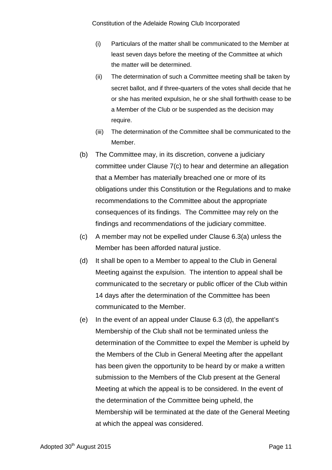- (i) Particulars of the matter shall be communicated to the Member at least seven days before the meeting of the Committee at which the matter will be determined.
- (ii) The determination of such a Committee meeting shall be taken by secret ballot, and if three-quarters of the votes shall decide that he or she has merited expulsion, he or she shall forthwith cease to be a Member of the Club or be suspended as the decision may require.
- (iii) The determination of the Committee shall be communicated to the Member.
- (b) The Committee may, in its discretion, convene a judiciary committee under Clause 7(c) to hear and determine an allegation that a Member has materially breached one or more of its obligations under this Constitution or the Regulations and to make recommendations to the Committee about the appropriate consequences of its findings. The Committee may rely on the findings and recommendations of the judiciary committee.
- (c) A member may not be expelled under Clause 6.3(a) unless the Member has been afforded natural justice.
- (d) It shall be open to a Member to appeal to the Club in General Meeting against the expulsion. The intention to appeal shall be communicated to the secretary or public officer of the Club within 14 days after the determination of the Committee has been communicated to the Member.
- (e) In the event of an appeal under Clause 6.3 (d), the appellant's Membership of the Club shall not be terminated unless the determination of the Committee to expel the Member is upheld by the Members of the Club in General Meeting after the appellant has been given the opportunity to be heard by or make a written submission to the Members of the Club present at the General Meeting at which the appeal is to be considered. In the event of the determination of the Committee being upheld, the Membership will be terminated at the date of the General Meeting at which the appeal was considered.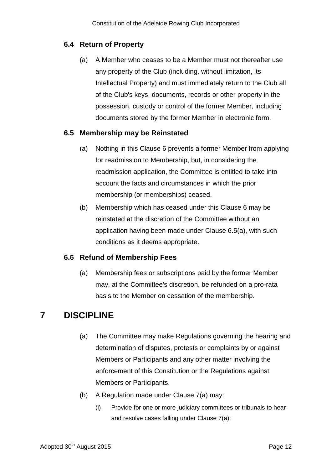## **6.4 Return of Property**

(a) A Member who ceases to be a Member must not thereafter use any property of the Club (including, without limitation, its Intellectual Property) and must immediately return to the Club all of the Club's keys, documents, records or other property in the possession, custody or control of the former Member, including documents stored by the former Member in electronic form.

### **6.5 Membership may be Reinstated**

- (a) Nothing in this Clause 6 prevents a former Member from applying for readmission to Membership, but, in considering the readmission application, the Committee is entitled to take into account the facts and circumstances in which the prior membership (or memberships) ceased.
- (b) Membership which has ceased under this Clause 6 may be reinstated at the discretion of the Committee without an application having been made under Clause 6.5(a), with such conditions as it deems appropriate.

#### **6.6 Refund of Membership Fees**

(a) Membership fees or subscriptions paid by the former Member may, at the Committee's discretion, be refunded on a pro-rata basis to the Member on cessation of the membership.

# <span id="page-14-0"></span>**7 DISCIPLINE**

- (a) The Committee may make Regulations governing the hearing and determination of disputes, protests or complaints by or against Members or Participants and any other matter involving the enforcement of this Constitution or the Regulations against Members or Participants.
- (b) A Regulation made under Clause 7(a) may:
	- (i) Provide for one or more judiciary committees or tribunals to hear and resolve cases falling under Clause 7(a);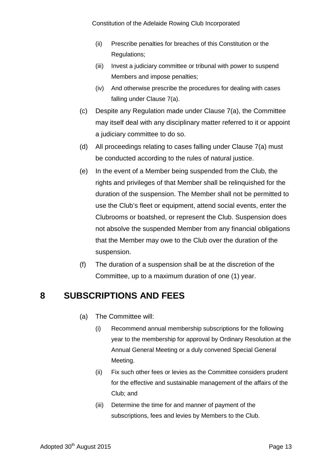- (ii) Prescribe penalties for breaches of this Constitution or the Regulations;
- (iii) Invest a judiciary committee or tribunal with power to suspend Members and impose penalties;
- (iv) And otherwise prescribe the procedures for dealing with cases falling under Clause 7(a).
- (c) Despite any Regulation made under Clause 7(a), the Committee may itself deal with any disciplinary matter referred to it or appoint a judiciary committee to do so.
- (d) All proceedings relating to cases falling under Clause 7(a) must be conducted according to the rules of natural justice.
- (e) In the event of a Member being suspended from the Club, the rights and privileges of that Member shall be relinquished for the duration of the suspension. The Member shall not be permitted to use the Club's fleet or equipment, attend social events, enter the Clubrooms or boatshed, or represent the Club. Suspension does not absolve the suspended Member from any financial obligations that the Member may owe to the Club over the duration of the suspension.
- (f) The duration of a suspension shall be at the discretion of the Committee, up to a maximum duration of one (1) year.

# <span id="page-15-0"></span>**8 SUBSCRIPTIONS AND FEES**

- (a) The Committee will:
	- (i) Recommend annual membership subscriptions for the following year to the membership for approval by Ordinary Resolution at the Annual General Meeting or a duly convened Special General Meeting.
	- (ii) Fix such other fees or levies as the Committee considers prudent for the effective and sustainable management of the affairs of the Club; and
	- (iii) Determine the time for and manner of payment of the subscriptions, fees and levies by Members to the Club.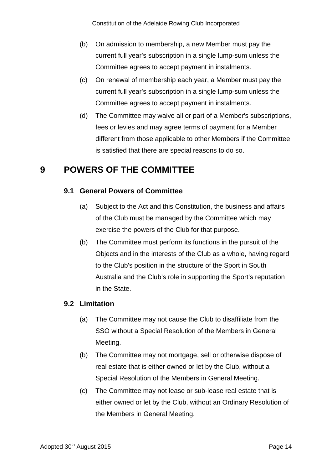- (b) On admission to membership, a new Member must pay the current full year's subscription in a single lump-sum unless the Committee agrees to accept payment in instalments.
- (c) On renewal of membership each year, a Member must pay the current full year's subscription in a single lump-sum unless the Committee agrees to accept payment in instalments.
- (d) The Committee may waive all or part of a Member's subscriptions, fees or levies and may agree terms of payment for a Member different from those applicable to other Members if the Committee is satisfied that there are special reasons to do so.

# <span id="page-16-0"></span>**9 POWERS OF THE COMMITTEE**

### **9.1 General Powers of Committee**

- (a) Subject to the Act and this Constitution, the business and affairs of the Club must be managed by the Committee which may exercise the powers of the Club for that purpose.
- (b) The Committee must perform its functions in the pursuit of the Objects and in the interests of the Club as a whole, having regard to the Club's position in the structure of the Sport in South Australia and the Club's role in supporting the Sport's reputation in the State.

#### <span id="page-16-1"></span>**9.2 Limitation**

- (a) The Committee may not cause the Club to disaffiliate from the SSO without a Special Resolution of the Members in General Meeting.
- <span id="page-16-2"></span>(b) The Committee may not mortgage, sell or otherwise dispose of real estate that is either owned or let by the Club, without a Special Resolution of the Members in General Meeting.
- (c) The Committee may not lease or sub-lease real estate that is either owned or let by the Club, without an Ordinary Resolution of the Members in General Meeting.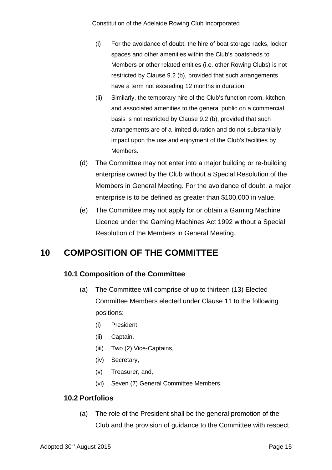- (i) For the avoidance of doubt, the hire of boat storage racks, locker spaces and other amenities within the Club's boatsheds to Members or other related entities (i.e. other Rowing Clubs) is not restricted by Clause [9.2](#page-16-1) [\(b\),](#page-16-2) provided that such arrangements have a term not exceeding 12 months in duration.
- (ii) Similarly, the temporary hire of the Club's function room, kitchen and associated amenities to the general public on a commercial basis is not restricted by Clause [9.2](#page-16-1) [\(b\),](#page-16-2) provided that such arrangements are of a limited duration and do not substantially impact upon the use and enjoyment of the Club's facilities by Members.
- (d) The Committee may not enter into a major building or re-building enterprise owned by the Club without a Special Resolution of the Members in General Meeting. For the avoidance of doubt, a major enterprise is to be defined as greater than \$100,000 in value.
- (e) The Committee may not apply for or obtain a Gaming Machine Licence under the Gaming Machines Act 1992 without a Special Resolution of the Members in General Meeting.

# <span id="page-17-0"></span>**10 COMPOSITION OF THE COMMITTEE**

# **10.1 Composition of the Committee**

- (a) The Committee will comprise of up to thirteen (13) Elected Committee Members elected under Clause 11 to the following positions:
	- (i) President,
	- (ii) Captain,
	- (iii) Two (2) Vice-Captains,
	- (iv) Secretary,
	- (v) Treasurer, and,
	- (vi) Seven (7) General Committee Members.

#### **10.2 Portfolios**

(a) The role of the President shall be the general promotion of the Club and the provision of guidance to the Committee with respect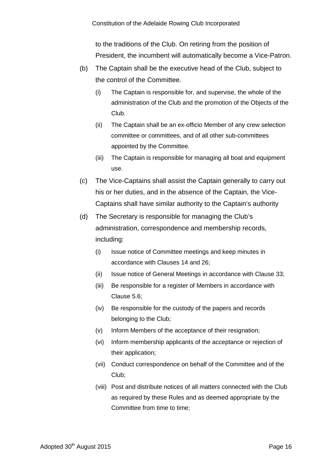to the traditions of the Club. On retiring from the position of President, the incumbent will automatically become a Vice-Patron.

- (b) The Captain shall be the executive head of the Club, subject to the control of the Committee.
	- (i) The Captain is responsible for, and supervise, the whole of the administration of the Club and the promotion of the Objects of the Club.
	- (ii) The Captain shall be an ex-officio Member of any crew selection committee or committees, and of all other sub-committees appointed by the Committee.
	- (iii) The Captain is responsible for managing all boat and equipment use.
- (c) The Vice-Captains shall assist the Captain generally to carry out his or her duties, and in the absence of the Captain, the Vice-Captains shall have similar authority to the Captain's authority
- (d) The Secretary is responsible for managing the Club's administration, correspondence and membership records, including:
	- (i) Issue notice of Committee meetings and keep minutes in accordance with Clauses 14 and 26;
	- (ii) Issue notice of General Meetings in accordance with Clause 33;
	- (iii) Be responsible for a register of Members in accordance with Clause 5.6;
	- (iv) Be responsible for the custody of the papers and records belonging to the Club;
	- (v) Inform Members of the acceptance of their resignation;
	- (vi) Inform membership applicants of the acceptance or rejection of their application;
	- (vii) Conduct correspondence on behalf of the Committee and of the Club;
	- (viii) Post and distribute notices of all matters connected with the Club as required by these Rules and as deemed appropriate by the Committee from time to time;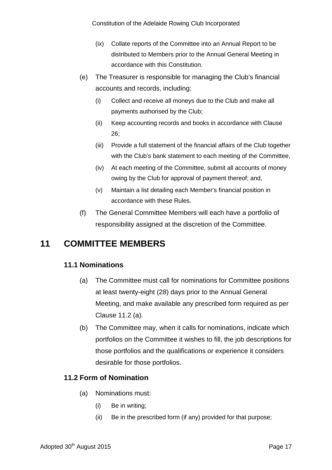- (ix) Collate reports of the Committee into an Annual Report to be distributed to Members prior to the Annual General Meeting in accordance with this Constitution.
- (e) The Treasurer is responsible for managing the Club's financial accounts and records, including:
	- (i) Collect and receive all moneys due to the Club and make all payments authorised by the Club;
	- (ii) Keep accounting records and books in accordance with Clause 26;
	- (iii) Provide a full statement of the financial affairs of the Club together with the Club's bank statement to each meeting of the Committee,
	- (iv) At each meeting of the Committee, submit all accounts of money owing by the Club for approval of payment thereof; and,
	- (v) Maintain a list detailing each Member's financial position in accordance with these Rules.
- (f) The General Committee Members will each have a portfolio of responsibility assigned at the discretion of the Committee.

# <span id="page-19-0"></span>**11 COMMITTEE MEMBERS**

### **11.1 Nominations**

- (a) The Committee must call for nominations for Committee positions at least twenty-eight (28) days prior to the Annual General Meeting, and make available any prescribed form required as per Clause 11.2 (a).
- (b) The Committee may, when it calls for nominations, indicate which portfolios on the Committee it wishes to fill, the job descriptions for those portfolios and the qualifications or experience it considers desirable for those portfolios.

### **11.2 Form of Nomination**

- (a) Nominations must:
	- (i) Be in writing;
	- (ii) Be in the prescribed form (if any) provided for that purpose;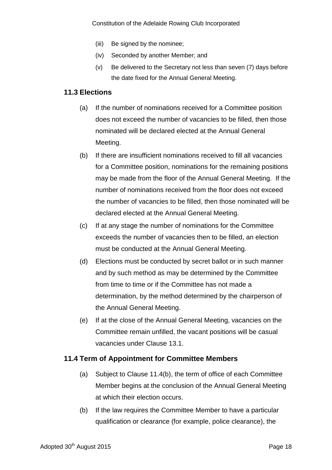- (iii) Be signed by the nominee;
- (iv) Seconded by another Member; and
- (v) Be delivered to the Secretary not less than seven (7) days before the date fixed for the Annual General Meeting.

#### **11.3 Elections**

- (a) If the number of nominations received for a Committee position does not exceed the number of vacancies to be filled, then those nominated will be declared elected at the Annual General Meeting.
- (b) If there are insufficient nominations received to fill all vacancies for a Committee position, nominations for the remaining positions may be made from the floor of the Annual General Meeting. If the number of nominations received from the floor does not exceed the number of vacancies to be filled, then those nominated will be declared elected at the Annual General Meeting.
- (c) If at any stage the number of nominations for the Committee exceeds the number of vacancies then to be filled, an election must be conducted at the Annual General Meeting.
- (d) Elections must be conducted by secret ballot or in such manner and by such method as may be determined by the Committee from time to time or if the Committee has not made a determination, by the method determined by the chairperson of the Annual General Meeting.
- (e) If at the close of the Annual General Meeting, vacancies on the Committee remain unfilled, the vacant positions will be casual vacancies under Clause 13.1.

#### **11.4 Term of Appointment for Committee Members**

- (a) Subject to Clause 11.4(b), the term of office of each Committee Member begins at the conclusion of the Annual General Meeting at which their election occurs.
- (b) If the law requires the Committee Member to have a particular qualification or clearance (for example, police clearance), the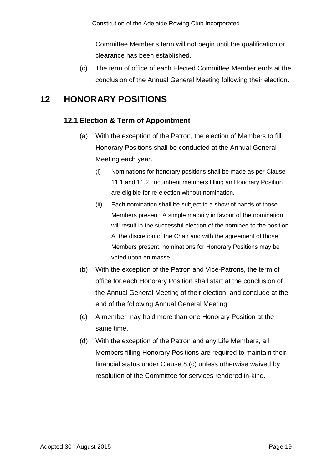Committee Member's term will not begin until the qualification or clearance has been established.

(c) The term of office of each Elected Committee Member ends at the conclusion of the Annual General Meeting following their election.

# <span id="page-21-0"></span>**12 HONORARY POSITIONS**

## **12.1 Election & Term of Appointment**

- (a) With the exception of the Patron, the election of Members to fill Honorary Positions shall be conducted at the Annual General Meeting each year.
	- (i) Nominations for honorary positions shall be made as per Clause 11.1 and 11.2. Incumbent members filling an Honorary Position are eligible for re-election without nomination.
	- (ii) Each nomination shall be subject to a show of hands of those Members present. A simple majority in favour of the nomination will result in the successful election of the nominee to the position. At the discretion of the Chair and with the agreement of those Members present, nominations for Honorary Positions may be voted upon en masse.
- (b) With the exception of the Patron and Vice-Patrons, the term of office for each Honorary Position shall start at the conclusion of the Annual General Meeting of their election, and conclude at the end of the following Annual General Meeting.
- (c) A member may hold more than one Honorary Position at the same time.
- (d) With the exception of the Patron and any Life Members, all Members filling Honorary Positions are required to maintain their financial status under Clause 8.(c) unless otherwise waived by resolution of the Committee for services rendered in-kind.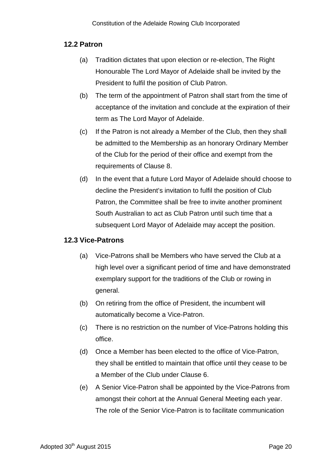#### **12.2 Patron**

- (a) Tradition dictates that upon election or re-election, The Right Honourable The Lord Mayor of Adelaide shall be invited by the President to fulfil the position of Club Patron.
- (b) The term of the appointment of Patron shall start from the time of acceptance of the invitation and conclude at the expiration of their term as The Lord Mayor of Adelaide.
- (c) If the Patron is not already a Member of the Club, then they shall be admitted to the Membership as an honorary Ordinary Member of the Club for the period of their office and exempt from the requirements of Clause 8.
- (d) In the event that a future Lord Mayor of Adelaide should choose to decline the President's invitation to fulfil the position of Club Patron, the Committee shall be free to invite another prominent South Australian to act as Club Patron until such time that a subsequent Lord Mayor of Adelaide may accept the position.

#### **12.3 Vice-Patrons**

- (a) Vice-Patrons shall be Members who have served the Club at a high level over a significant period of time and have demonstrated exemplary support for the traditions of the Club or rowing in general.
- (b) On retiring from the office of President, the incumbent will automatically become a Vice-Patron.
- (c) There is no restriction on the number of Vice-Patrons holding this office.
- (d) Once a Member has been elected to the office of Vice-Patron, they shall be entitled to maintain that office until they cease to be a Member of the Club under Clause 6.
- (e) A Senior Vice-Patron shall be appointed by the Vice-Patrons from amongst their cohort at the Annual General Meeting each year. The role of the Senior Vice-Patron is to facilitate communication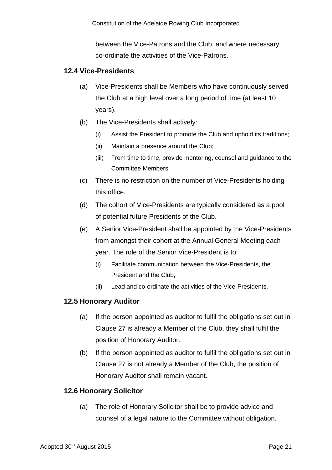between the Vice-Patrons and the Club, and where necessary, co-ordinate the activities of the Vice-Patrons.

### **12.4 Vice-Presidents**

- (a) Vice-Presidents shall be Members who have continuously served the Club at a high level over a long period of time (at least 10 years).
- (b) The Vice-Presidents shall actively:
	- (i) Assist the President to promote the Club and uphold its traditions;
	- (ii) Maintain a presence around the Club;
	- (iii) From time to time, provide mentoring, counsel and guidance to the Committee Members.
- (c) There is no restriction on the number of Vice-Presidents holding this office.
- (d) The cohort of Vice-Presidents are typically considered as a pool of potential future Presidents of the Club.
- (e) A Senior Vice-President shall be appointed by the Vice-Presidents from amongst their cohort at the Annual General Meeting each year. The role of the Senior Vice-President is to:
	- (i) Facilitate communication between the Vice-Presidents, the President and the Club,
	- (ii) Lead and co-ordinate the activities of the Vice-Presidents.

### **12.5 Honorary Auditor**

- (a) If the person appointed as auditor to fulfil the obligations set out in Clause 27 is already a Member of the Club, they shall fulfil the position of Honorary Auditor.
- (b) If the person appointed as auditor to fulfil the obligations set out in Clause 27 is not already a Member of the Club, the position of Honorary Auditor shall remain vacant.

### **12.6 Honorary Solicitor**

(a) The role of Honorary Solicitor shall be to provide advice and counsel of a legal nature to the Committee without obligation.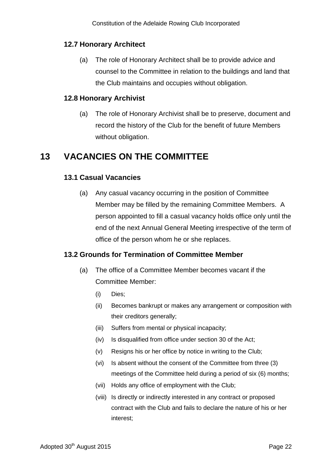## **12.7 Honorary Architect**

(a) The role of Honorary Architect shall be to provide advice and counsel to the Committee in relation to the buildings and land that the Club maintains and occupies without obligation.

### **12.8 Honorary Archivist**

(a) The role of Honorary Archivist shall be to preserve, document and record the history of the Club for the benefit of future Members without obligation.

# <span id="page-24-0"></span>**13 VACANCIES ON THE COMMITTEE**

### **13.1 Casual Vacancies**

(a) Any casual vacancy occurring in the position of Committee Member may be filled by the remaining Committee Members. A person appointed to fill a casual vacancy holds office only until the end of the next Annual General Meeting irrespective of the term of office of the person whom he or she replaces.

### **13.2 Grounds for Termination of Committee Member**

- (a) The office of a Committee Member becomes vacant if the Committee Member:
	- (i) Dies;
	- (ii) Becomes bankrupt or makes any arrangement or composition with their creditors generally;
	- (iii) Suffers from mental or physical incapacity;
	- (iv) Is disqualified from office under section 30 of the Act;
	- (v) Resigns his or her office by notice in writing to the Club;
	- (vi) Is absent without the consent of the Committee from three (3) meetings of the Committee held during a period of six (6) months;
	- (vii) Holds any office of employment with the Club;
	- (viii) Is directly or indirectly interested in any contract or proposed contract with the Club and fails to declare the nature of his or her interest;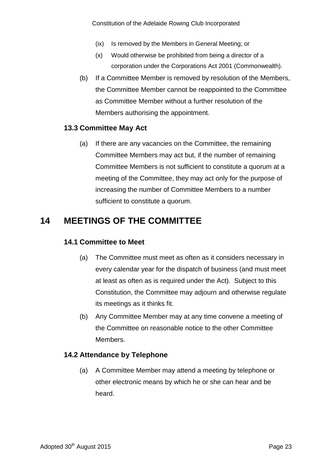- (ix) Is removed by the Members in General Meeting; or
- (x) Would otherwise be prohibited from being a director of a corporation under the Corporations Act 2001 (Commonwealth).
- (b) If a Committee Member is removed by resolution of the Members, the Committee Member cannot be reappointed to the Committee as Committee Member without a further resolution of the Members authorising the appointment.

#### **13.3 Committee May Act**

(a) If there are any vacancies on the Committee, the remaining Committee Members may act but, if the number of remaining Committee Members is not sufficient to constitute a quorum at a meeting of the Committee, they may act only for the purpose of increasing the number of Committee Members to a number sufficient to constitute a quorum.

# <span id="page-25-0"></span>**14 MEETINGS OF THE COMMITTEE**

#### **14.1 Committee to Meet**

- (a) The Committee must meet as often as it considers necessary in every calendar year for the dispatch of business (and must meet at least as often as is required under the Act). Subject to this Constitution, the Committee may adjourn and otherwise regulate its meetings as it thinks fit.
- (b) Any Committee Member may at any time convene a meeting of the Committee on reasonable notice to the other Committee Members.

#### **14.2 Attendance by Telephone**

(a) A Committee Member may attend a meeting by telephone or other electronic means by which he or she can hear and be heard.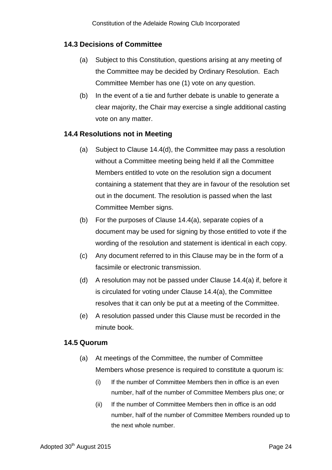### **14.3 Decisions of Committee**

- (a) Subject to this Constitution, questions arising at any meeting of the Committee may be decided by Ordinary Resolution. Each Committee Member has one (1) vote on any question.
- (b) In the event of a tie and further debate is unable to generate a clear majority, the Chair may exercise a single additional casting vote on any matter.

#### **14.4 Resolutions not in Meeting**

- (a) Subject to Clause 14.4(d), the Committee may pass a resolution without a Committee meeting being held if all the Committee Members entitled to vote on the resolution sign a document containing a statement that they are in favour of the resolution set out in the document. The resolution is passed when the last Committee Member signs.
- (b) For the purposes of Clause 14.4(a), separate copies of a document may be used for signing by those entitled to vote if the wording of the resolution and statement is identical in each copy.
- (c) Any document referred to in this Clause may be in the form of a facsimile or electronic transmission.
- (d) A resolution may not be passed under Clause 14.4(a) if, before it is circulated for voting under Clause 14.4(a), the Committee resolves that it can only be put at a meeting of the Committee.
- (e) A resolution passed under this Clause must be recorded in the minute book.

#### **14.5 Quorum**

- (a) At meetings of the Committee, the number of Committee Members whose presence is required to constitute a quorum is:
	- (i) If the number of Committee Members then in office is an even number, half of the number of Committee Members plus one; or
	- (ii) If the number of Committee Members then in office is an odd number, half of the number of Committee Members rounded up to the next whole number.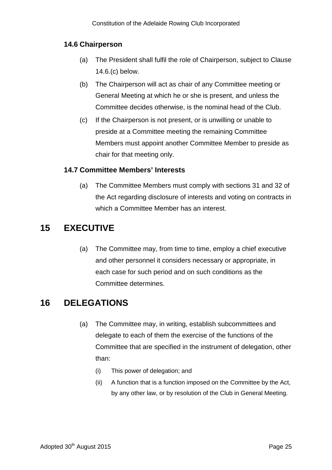### **14.6 Chairperson**

- (a) The President shall fulfil the role of Chairperson, subject to Clause 14.6.(c) below.
- (b) The Chairperson will act as chair of any Committee meeting or General Meeting at which he or she is present, and unless the Committee decides otherwise, is the nominal head of the Club.
- (c) If the Chairperson is not present, or is unwilling or unable to preside at a Committee meeting the remaining Committee Members must appoint another Committee Member to preside as chair for that meeting only.

#### **14.7 Committee Members' Interests**

(a) The Committee Members must comply with sections 31 and 32 of the Act regarding disclosure of interests and voting on contracts in which a Committee Member has an interest.

# <span id="page-27-0"></span>**15 EXECUTIVE**

(a) The Committee may, from time to time, employ a chief executive and other personnel it considers necessary or appropriate, in each case for such period and on such conditions as the Committee determines.

# <span id="page-27-1"></span>**16 DELEGATIONS**

- (a) The Committee may, in writing, establish subcommittees and delegate to each of them the exercise of the functions of the Committee that are specified in the instrument of delegation, other than:
	- (i) This power of delegation; and
	- (ii) A function that is a function imposed on the Committee by the Act, by any other law, or by resolution of the Club in General Meeting.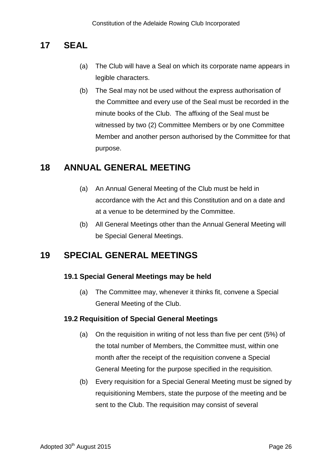# <span id="page-28-0"></span>**17 SEAL**

- (a) The Club will have a Seal on which its corporate name appears in legible characters.
- (b) The Seal may not be used without the express authorisation of the Committee and every use of the Seal must be recorded in the minute books of the Club. The affixing of the Seal must be witnessed by two (2) Committee Members or by one Committee Member and another person authorised by the Committee for that purpose.

# <span id="page-28-1"></span>**18 ANNUAL GENERAL MEETING**

- (a) An Annual General Meeting of the Club must be held in accordance with the Act and this Constitution and on a date and at a venue to be determined by the Committee.
- (b) All General Meetings other than the Annual General Meeting will be Special General Meetings.

# <span id="page-28-2"></span>**19 SPECIAL GENERAL MEETINGS**

### **19.1 Special General Meetings may be held**

(a) The Committee may, whenever it thinks fit, convene a Special General Meeting of the Club.

#### **19.2 Requisition of Special General Meetings**

- (a) On the requisition in writing of not less than five per cent (5%) of the total number of Members, the Committee must, within one month after the receipt of the requisition convene a Special General Meeting for the purpose specified in the requisition.
- (b) Every requisition for a Special General Meeting must be signed by requisitioning Members, state the purpose of the meeting and be sent to the Club. The requisition may consist of several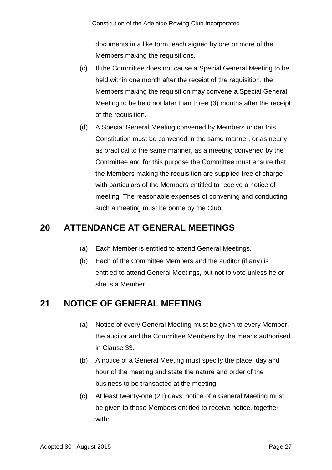documents in a like form, each signed by one or more of the Members making the requisitions.

- (c) If the Committee does not cause a Special General Meeting to be held within one month after the receipt of the requisition, the Members making the requisition may convene a Special General Meeting to be held not later than three (3) months after the receipt of the requisition.
- (d) A Special General Meeting convened by Members under this Constitution must be convened in the same manner, or as nearly as practical to the same manner, as a meeting convened by the Committee and for this purpose the Committee must ensure that the Members making the requisition are supplied free of charge with particulars of the Members entitled to receive a notice of meeting. The reasonable expenses of convening and conducting such a meeting must be borne by the Club.

# <span id="page-29-0"></span>**20 ATTENDANCE AT GENERAL MEETINGS**

- (a) Each Member is entitled to attend General Meetings.
- (b) Each of the Committee Members and the auditor (if any) is entitled to attend General Meetings, but not to vote unless he or she is a Member.

# <span id="page-29-1"></span>**21 NOTICE OF GENERAL MEETING**

- (a) Notice of every General Meeting must be given to every Member, the auditor and the Committee Members by the means authorised in Clause 33.
- (b) A notice of a General Meeting must specify the place, day and hour of the meeting and state the nature and order of the business to be transacted at the meeting.
- (c) At least twenty-one (21) days' notice of a General Meeting must be given to those Members entitled to receive notice, together with: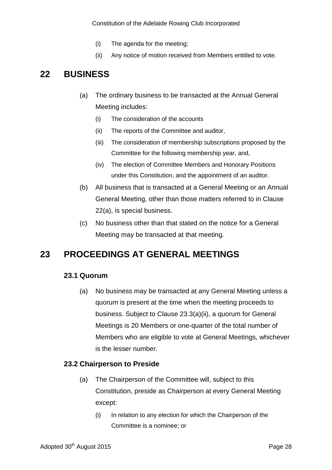- (i) The agenda for the meeting;
- (ii) Any notice of motion received from Members entitled to vote.

# <span id="page-30-0"></span>**22 BUSINESS**

- (a) The ordinary business to be transacted at the Annual General Meeting includes:
	- (i) The consideration of the accounts
	- (ii) The reports of the Committee and auditor,
	- (iii) The consideration of membership subscriptions proposed by the Committee for the following membership year, and,
	- (iv) The election of Committee Members and Honorary Positions under this Constitution, and the appointment of an auditor.
- (b) All business that is transacted at a General Meeting or an Annual General Meeting, other than those matters referred to in Clause 22(a), is special business.
- (c) No business other than that stated on the notice for a General Meeting may be transacted at that meeting.

# <span id="page-30-1"></span>**23 PROCEEDINGS AT GENERAL MEETINGS**

#### **23.1 Quorum**

(a) No business may be transacted at any General Meeting unless a quorum is present at the time when the meeting proceeds to business. Subject to Clause 23.3(a)(ii), a quorum for General Meetings is 20 Members or one-quarter of the total number of Members who are eligible to vote at General Meetings, whichever is the lesser number.

#### **23.2 Chairperson to Preside**

- (a) The Chairperson of the Committee will, subject to this Constitution, preside as Chairperson at every General Meeting except:
	- (i) In relation to any election for which the Chairperson of the Committee is a nominee; or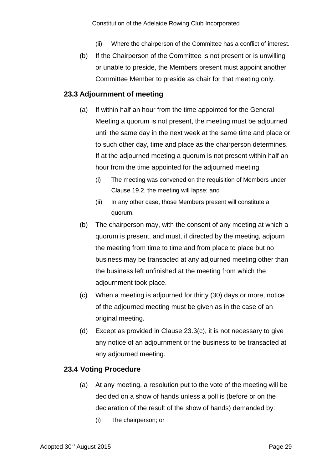- (ii) Where the chairperson of the Committee has a conflict of interest.
- (b) If the Chairperson of the Committee is not present or is unwilling or unable to preside, the Members present must appoint another Committee Member to preside as chair for that meeting only.

#### **23.3 Adjournment of meeting**

- (a) If within half an hour from the time appointed for the General Meeting a quorum is not present, the meeting must be adjourned until the same day in the next week at the same time and place or to such other day, time and place as the chairperson determines. If at the adjourned meeting a quorum is not present within half an hour from the time appointed for the adjourned meeting
	- (i) The meeting was convened on the requisition of Members under Clause 19.2, the meeting will lapse; and
	- (ii) In any other case, those Members present will constitute a quorum.
- (b) The chairperson may, with the consent of any meeting at which a quorum is present, and must, if directed by the meeting, adjourn the meeting from time to time and from place to place but no business may be transacted at any adjourned meeting other than the business left unfinished at the meeting from which the adjournment took place.
- (c) When a meeting is adjourned for thirty (30) days or more, notice of the adjourned meeting must be given as in the case of an original meeting.
- (d) Except as provided in Clause 23.3(c), it is not necessary to give any notice of an adjournment or the business to be transacted at any adjourned meeting.

### **23.4 Voting Procedure**

- (a) At any meeting, a resolution put to the vote of the meeting will be decided on a show of hands unless a poll is (before or on the declaration of the result of the show of hands) demanded by:
	- (i) The chairperson; or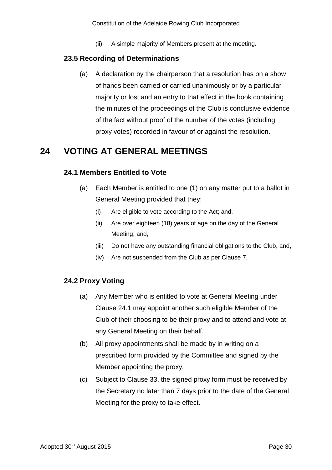(ii) A simple majority of Members present at the meeting.

### **23.5 Recording of Determinations**

(a) A declaration by the chairperson that a resolution has on a show of hands been carried or carried unanimously or by a particular majority or lost and an entry to that effect in the book containing the minutes of the proceedings of the Club is conclusive evidence of the fact without proof of the number of the votes (including proxy votes) recorded in favour of or against the resolution.

# <span id="page-32-0"></span>**24 VOTING AT GENERAL MEETINGS**

### **24.1 Members Entitled to Vote**

- (a) Each Member is entitled to one (1) on any matter put to a ballot in General Meeting provided that they:
	- (i) Are eligible to vote according to the Act; and,
	- (ii) Are over eighteen (18) years of age on the day of the General Meeting; and,
	- (iii) Do not have any outstanding financial obligations to the Club, and,
	- (iv) Are not suspended from the Club as per Clause 7.

### **24.2 Proxy Voting**

- (a) Any Member who is entitled to vote at General Meeting under Clause 24.1 may appoint another such eligible Member of the Club of their choosing to be their proxy and to attend and vote at any General Meeting on their behalf.
- (b) All proxy appointments shall be made by in writing on a prescribed form provided by the Committee and signed by the Member appointing the proxy.
- (c) Subject to Clause 33, the signed proxy form must be received by the Secretary no later than 7 days prior to the date of the General Meeting for the proxy to take effect.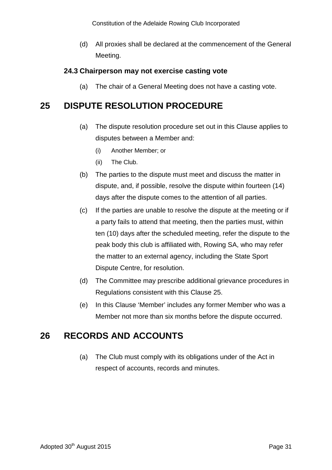(d) All proxies shall be declared at the commencement of the General Meeting.

### **24.3 Chairperson may not exercise casting vote**

(a) The chair of a General Meeting does not have a casting vote.

# <span id="page-33-0"></span>**25 DISPUTE RESOLUTION PROCEDURE**

- (a) The dispute resolution procedure set out in this Clause applies to disputes between a Member and:
	- (i) Another Member; or
	- (ii) The Club.
- (b) The parties to the dispute must meet and discuss the matter in dispute, and, if possible, resolve the dispute within fourteen (14) days after the dispute comes to the attention of all parties.
- (c) If the parties are unable to resolve the dispute at the meeting or if a party fails to attend that meeting, then the parties must, within ten (10) days after the scheduled meeting, refer the dispute to the peak body this club is affiliated with, Rowing SA, who may refer the matter to an external agency, including the State Sport Dispute Centre, for resolution.
- (d) The Committee may prescribe additional grievance procedures in Regulations consistent with this Clause 25.
- (e) In this Clause 'Member' includes any former Member who was a Member not more than six months before the dispute occurred.

# <span id="page-33-1"></span>**26 RECORDS AND ACCOUNTS**

(a) The Club must comply with its obligations under of the Act in respect of accounts, records and minutes.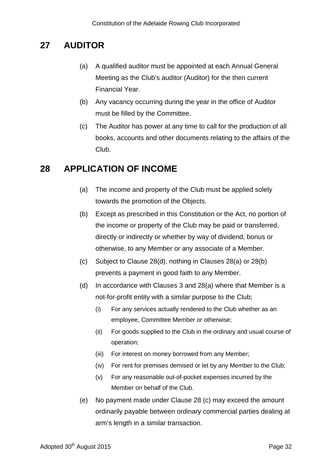# <span id="page-34-0"></span>**27 AUDITOR**

- (a) A qualified auditor must be appointed at each Annual General Meeting as the Club's auditor (Auditor) for the then current Financial Year.
- (b) Any vacancy occurring during the year in the office of Auditor must be filled by the Committee.
- (c) The Auditor has power at any time to call for the production of all books, accounts and other documents relating to the affairs of the Club.

# <span id="page-34-1"></span>**28 APPLICATION OF INCOME**

- (a) The income and property of the Club must be applied solely towards the promotion of the Objects.
- (b) Except as prescribed in this Constitution or the Act, no portion of the income or property of the Club may be paid or transferred, directly or indirectly or whether by way of dividend, bonus or otherwise, to any Member or any associate of a Member.
- (c) Subject to Clause 28(d), nothing in Clauses 28(a) or 28(b) prevents a payment in good faith to any Member.
- (d) In accordance with Clauses 3 and 28(a) where that Member is a not-for-profit entity with a similar purpose to the Club;
	- (i) For any services actually rendered to the Club whether as an employee, Committee Member or otherwise;
	- (ii) For goods supplied to the Club in the ordinary and usual course of operation;
	- (iii) For interest on money borrowed from any Member;
	- (iv) For rent for premises demised or let by any Member to the Club;
	- (v) For any reasonable out-of-pocket expenses incurred by the Member on behalf of the Club.
- (e) No payment made under Clause 28 (c) may exceed the amount ordinarily payable between ordinary commercial parties dealing at arm's length in a similar transaction.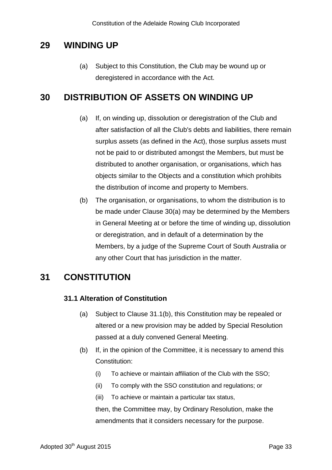# <span id="page-35-0"></span>**29 WINDING UP**

(a) Subject to this Constitution, the Club may be wound up or deregistered in accordance with the Act.

# <span id="page-35-1"></span>**30 DISTRIBUTION OF ASSETS ON WINDING UP**

- (a) If, on winding up, dissolution or deregistration of the Club and after satisfaction of all the Club's debts and liabilities, there remain surplus assets (as defined in the Act), those surplus assets must not be paid to or distributed amongst the Members, but must be distributed to another organisation, or organisations, which has objects similar to the Objects and a constitution which prohibits the distribution of income and property to Members.
- (b) The organisation, or organisations, to whom the distribution is to be made under Clause 30(a) may be determined by the Members in General Meeting at or before the time of winding up, dissolution or deregistration, and in default of a determination by the Members, by a judge of the Supreme Court of South Australia or any other Court that has jurisdiction in the matter.

# <span id="page-35-2"></span>**31 CONSTITUTION**

### **31.1 Alteration of Constitution**

- (a) Subject to Clause 31.1(b), this Constitution may be repealed or altered or a new provision may be added by Special Resolution passed at a duly convened General Meeting.
- (b) If, in the opinion of the Committee, it is necessary to amend this Constitution:
	- (i) To achieve or maintain affiliation of the Club with the SSO;
	- (ii) To comply with the SSO constitution and regulations; or
	- (iii) To achieve or maintain a particular tax status,

then, the Committee may, by Ordinary Resolution, make the amendments that it considers necessary for the purpose.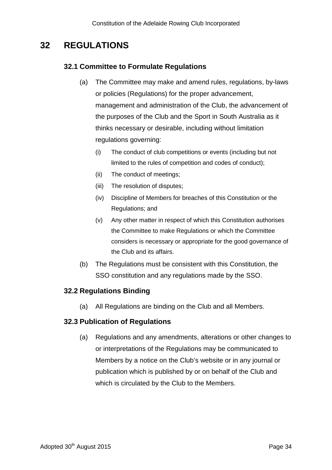# <span id="page-36-0"></span>**32 REGULATIONS**

### **32.1 Committee to Formulate Regulations**

- (a) The Committee may make and amend rules, regulations, by-laws or policies (Regulations) for the proper advancement, management and administration of the Club, the advancement of the purposes of the Club and the Sport in South Australia as it thinks necessary or desirable, including without limitation regulations governing:
	- (i) The conduct of club competitions or events (including but not limited to the rules of competition and codes of conduct);
	- (ii) The conduct of meetings;
	- (iii) The resolution of disputes;
	- (iv) Discipline of Members for breaches of this Constitution or the Regulations; and
	- (v) Any other matter in respect of which this Constitution authorises the Committee to make Regulations or which the Committee considers is necessary or appropriate for the good governance of the Club and its affairs.
- (b) The Regulations must be consistent with this Constitution, the SSO constitution and any regulations made by the SSO.

### **32.2 Regulations Binding**

(a) All Regulations are binding on the Club and all Members.

#### **32.3 Publication of Regulations**

(a) Regulations and any amendments, alterations or other changes to or interpretations of the Regulations may be communicated to Members by a notice on the Club's website or in any journal or publication which is published by or on behalf of the Club and which is circulated by the Club to the Members.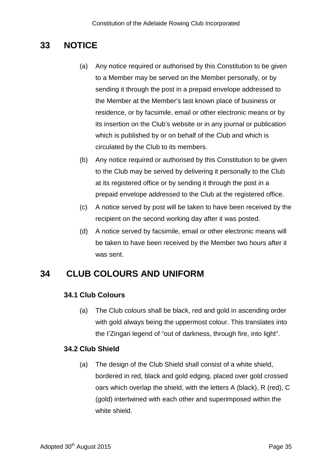# <span id="page-37-0"></span>**33 NOTICE**

- (a) Any notice required or authorised by this Constitution to be given to a Member may be served on the Member personally, or by sending it through the post in a prepaid envelope addressed to the Member at the Member's last known place of business or residence, or by facsimile, email or other electronic means or by its insertion on the Club's website or in any journal or publication which is published by or on behalf of the Club and which is circulated by the Club to its members.
- (b) Any notice required or authorised by this Constitution to be given to the Club may be served by delivering it personally to the Club at its registered office or by sending it through the post in a prepaid envelope addressed to the Club at the registered office.
- (c) A notice served by post will be taken to have been received by the recipient on the second working day after it was posted.
- (d) A notice served by facsimile, email or other electronic means will be taken to have been received by the Member two hours after it was sent.

# <span id="page-37-1"></span>**34 CLUB COLOURS AND UNIFORM**

### **34.1 Club Colours**

(a) The Club colours shall be black, red and gold in ascending order with gold always being the uppermost colour. This translates into the I'Zingari legend of "out of darkness, through fire, into light".

### **34.2 Club Shield**

(a) The design of the Club Shield shall consist of a white shield, bordered in red, black and gold edging, placed over gold crossed oars which overlap the shield, with the letters A (black), R (red), C (gold) intertwined with each other and superimposed within the white shield.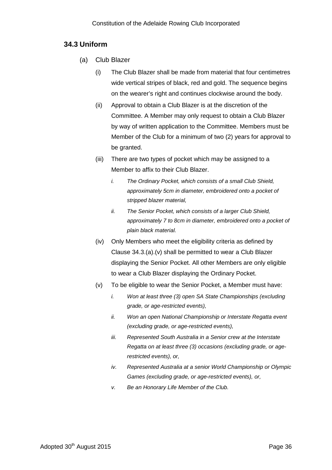#### **34.3 Uniform**

- (a) Club Blazer
	- (i) The Club Blazer shall be made from material that four centimetres wide vertical stripes of black, red and gold. The sequence begins on the wearer's right and continues clockwise around the body.
	- (ii) Approval to obtain a Club Blazer is at the discretion of the Committee. A Member may only request to obtain a Club Blazer by way of written application to the Committee. Members must be Member of the Club for a minimum of two (2) years for approval to be granted.
	- (iii) There are two types of pocket which may be assigned to a Member to affix to their Club Blazer.
		- *i. The Ordinary Pocket, which consists of a small Club Shield, approximately 5cm in diameter, embroidered onto a pocket of stripped blazer material,*
		- *ii. The Senior Pocket, which consists of a larger Club Shield, approximately 7 to 8cm in diameter, embroidered onto a pocket of plain black material.*
	- (iv) Only Members who meet the eligibility criteria as defined by Clause 34.3.(a).(v) shall be permitted to wear a Club Blazer displaying the Senior Pocket. All other Members are only eligible to wear a Club Blazer displaying the Ordinary Pocket.
	- (v) To be eligible to wear the Senior Pocket, a Member must have:
		- *i. Won at least three (3) open SA State Championships (excluding grade, or age-restricted events),*
		- *ii. Won an open National Championship or Interstate Regatta event (excluding grade, or age-restricted events),*
		- *iii. Represented South Australia in a Senior crew at the Interstate Regatta on at least three (3) occasions (excluding grade, or agerestricted events), or,*
		- *iv. Represented Australia at a senior World Championship or Olympic Games (excluding grade, or age-restricted events), or,*
		- *v. Be an Honorary Life Member of the Club.*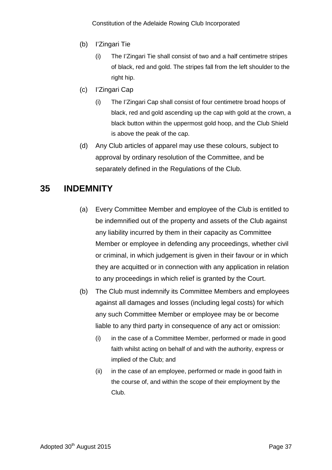- (b) I'Zingari Tie
	- (i) The I'Zingari Tie shall consist of two and a half centimetre stripes of black, red and gold. The stripes fall from the left shoulder to the right hip.
- (c) I'Zingari Cap
	- (i) The I'Zingari Cap shall consist of four centimetre broad hoops of black, red and gold ascending up the cap with gold at the crown, a black button within the uppermost gold hoop, and the Club Shield is above the peak of the cap.
- (d) Any Club articles of apparel may use these colours, subject to approval by ordinary resolution of the Committee, and be separately defined in the Regulations of the Club.

# <span id="page-39-0"></span>**35 INDEMNITY**

- (a) Every Committee Member and employee of the Club is entitled to be indemnified out of the property and assets of the Club against any liability incurred by them in their capacity as Committee Member or employee in defending any proceedings, whether civil or criminal, in which judgement is given in their favour or in which they are acquitted or in connection with any application in relation to any proceedings in which relief is granted by the Court.
- (b) The Club must indemnify its Committee Members and employees against all damages and losses (including legal costs) for which any such Committee Member or employee may be or become liable to any third party in consequence of any act or omission:
	- (i) in the case of a Committee Member, performed or made in good faith whilst acting on behalf of and with the authority, express or implied of the Club; and
	- (ii) in the case of an employee, performed or made in good faith in the course of, and within the scope of their employment by the Club.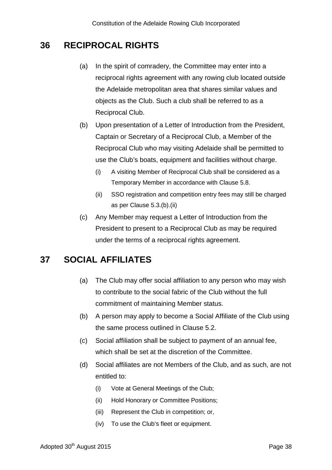# <span id="page-40-0"></span>**36 RECIPROCAL RIGHTS**

- (a) In the spirit of comradery, the Committee may enter into a reciprocal rights agreement with any rowing club located outside the Adelaide metropolitan area that shares similar values and objects as the Club. Such a club shall be referred to as a Reciprocal Club.
- (b) Upon presentation of a Letter of Introduction from the President, Captain or Secretary of a Reciprocal Club, a Member of the Reciprocal Club who may visiting Adelaide shall be permitted to use the Club's boats, equipment and facilities without charge.
	- (i) A visiting Member of Reciprocal Club shall be considered as a Temporary Member in accordance with Clause 5.8.
	- (ii) SSO registration and competition entry fees may still be charged as per Clause 5.3.(b).(ii)
- (c) Any Member may request a Letter of Introduction from the President to present to a Reciprocal Club as may be required under the terms of a reciprocal rights agreement.

# <span id="page-40-1"></span>**37 SOCIAL AFFILIATES**

- (a) The Club may offer social affiliation to any person who may wish to contribute to the social fabric of the Club without the full commitment of maintaining Member status.
- (b) A person may apply to become a Social Affiliate of the Club using the same process outlined in Clause 5.2.
- (c) Social affiliation shall be subject to payment of an annual fee, which shall be set at the discretion of the Committee.
- (d) Social affiliates are not Members of the Club, and as such, are not entitled to:
	- (i) Vote at General Meetings of the Club;
	- (ii) Hold Honorary or Committee Positions;
	- (iii) Represent the Club in competition; or,
	- (iv) To use the Club's fleet or equipment.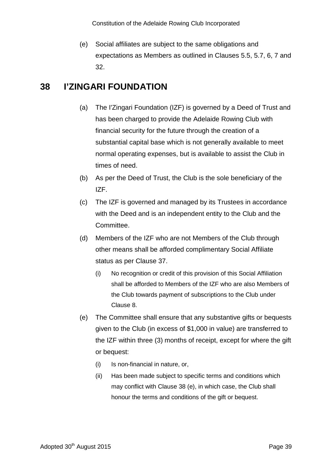(e) Social affiliates are subject to the same obligations and expectations as Members as outlined in Clauses 5.5, 5.7, 6, 7 and 32.

# <span id="page-41-0"></span>**38 I'ZINGARI FOUNDATION**

- (a) The I'Zingari Foundation (IZF) is governed by a Deed of Trust and has been charged to provide the Adelaide Rowing Club with financial security for the future through the creation of a substantial capital base which is not generally available to meet normal operating expenses, but is available to assist the Club in times of need.
- (b) As per the Deed of Trust, the Club is the sole beneficiary of the IZF.
- (c) The IZF is governed and managed by its Trustees in accordance with the Deed and is an independent entity to the Club and the Committee.
- (d) Members of the IZF who are not Members of the Club through other means shall be afforded complimentary Social Affiliate status as per Clause 37.
	- (i) No recognition or credit of this provision of this Social Affiliation shall be afforded to Members of the IZF who are also Members of the Club towards payment of subscriptions to the Club under Clause 8.
- (e) The Committee shall ensure that any substantive gifts or bequests given to the Club (in excess of \$1,000 in value) are transferred to the IZF within three (3) months of receipt, except for where the gift or bequest:
	- (i) Is non-financial in nature, or,
	- (ii) Has been made subject to specific terms and conditions which may conflict with Clause 38 (e), in which case, the Club shall honour the terms and conditions of the gift or bequest.